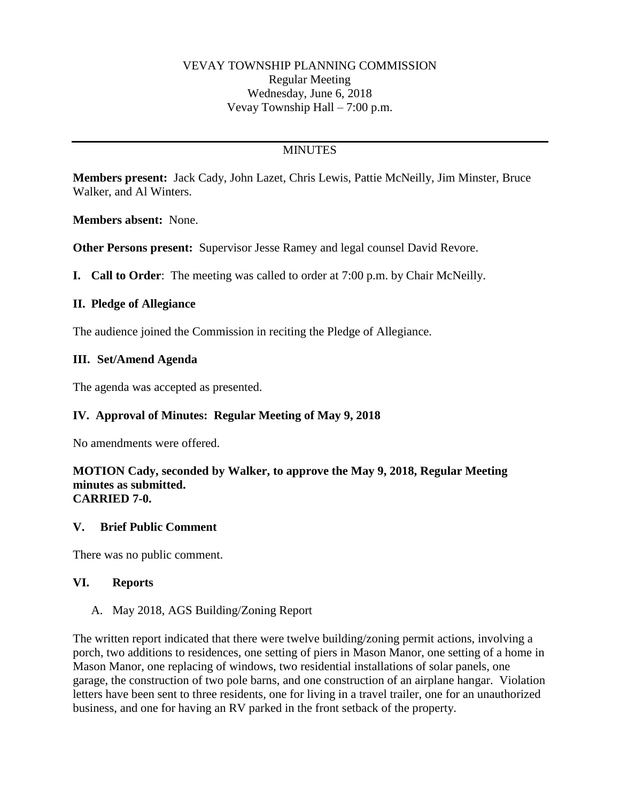# **MINUTES**

**Members present:** Jack Cady, John Lazet, Chris Lewis, Pattie McNeilly, Jim Minster, Bruce Walker, and Al Winters.

**Members absent:** None.

**Other Persons present:** Supervisor Jesse Ramey and legal counsel David Revore.

**I. Call to Order**: The meeting was called to order at 7:00 p.m. by Chair McNeilly.

#### **II. Pledge of Allegiance**

The audience joined the Commission in reciting the Pledge of Allegiance.

#### **III. Set/Amend Agenda**

The agenda was accepted as presented.

### **IV. Approval of Minutes: Regular Meeting of May 9, 2018**

No amendments were offered.

#### **MOTION Cady, seconded by Walker, to approve the May 9, 2018, Regular Meeting minutes as submitted. CARRIED 7-0.**

#### **V. Brief Public Comment**

There was no public comment.

#### **VI. Reports**

#### A. May 2018, AGS Building/Zoning Report

The written report indicated that there were twelve building/zoning permit actions, involving a porch, two additions to residences, one setting of piers in Mason Manor, one setting of a home in Mason Manor, one replacing of windows, two residential installations of solar panels, one garage, the construction of two pole barns, and one construction of an airplane hangar. Violation letters have been sent to three residents, one for living in a travel trailer, one for an unauthorized business, and one for having an RV parked in the front setback of the property.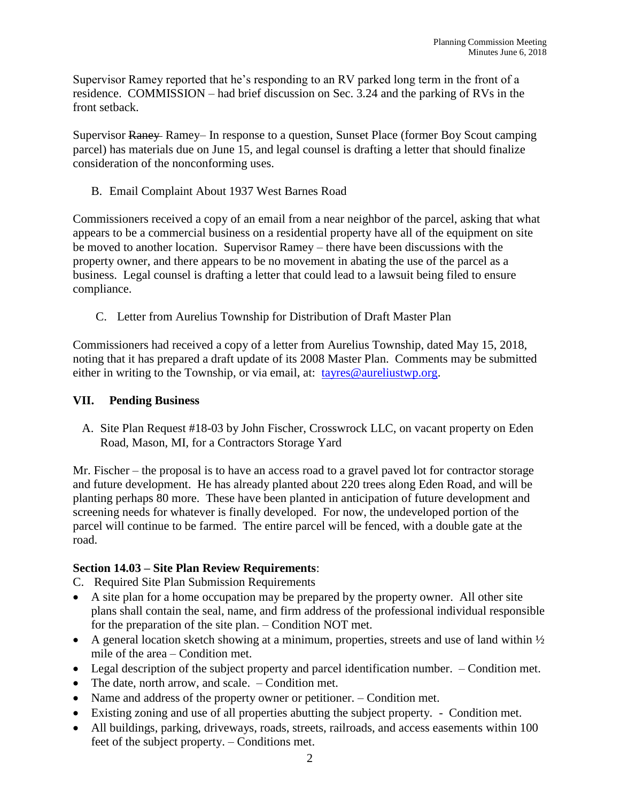Supervisor Ramey reported that he's responding to an RV parked long term in the front of a residence. COMMISSION – had brief discussion on Sec. 3.24 and the parking of RVs in the front setback.

Supervisor Raney– Ramey– In response to a question, Sunset Place (former Boy Scout camping parcel) has materials due on June 15, and legal counsel is drafting a letter that should finalize consideration of the nonconforming uses.

B. Email Complaint About 1937 West Barnes Road

Commissioners received a copy of an email from a near neighbor of the parcel, asking that what appears to be a commercial business on a residential property have all of the equipment on site be moved to another location. Supervisor Ramey – there have been discussions with the property owner, and there appears to be no movement in abating the use of the parcel as a business. Legal counsel is drafting a letter that could lead to a lawsuit being filed to ensure compliance.

C. Letter from Aurelius Township for Distribution of Draft Master Plan

Commissioners had received a copy of a letter from Aurelius Township, dated May 15, 2018, noting that it has prepared a draft update of its 2008 Master Plan. Comments may be submitted either in writing to the Township, or via email, at: [tayres@aureliustwp.org.](mailto:tayres@aureliustwp.org)

### **VII. Pending Business**

A. Site Plan Request #18-03 by John Fischer, Crosswrock LLC, on vacant property on Eden Road, Mason, MI, for a Contractors Storage Yard

Mr. Fischer – the proposal is to have an access road to a gravel paved lot for contractor storage and future development. He has already planted about 220 trees along Eden Road, and will be planting perhaps 80 more. These have been planted in anticipation of future development and screening needs for whatever is finally developed. For now, the undeveloped portion of the parcel will continue to be farmed. The entire parcel will be fenced, with a double gate at the road.

### **Section 14.03 – Site Plan Review Requirements**:

- C. Required Site Plan Submission Requirements
- A site plan for a home occupation may be prepared by the property owner. All other site plans shall contain the seal, name, and firm address of the professional individual responsible for the preparation of the site plan. – Condition NOT met.
- A general location sketch showing at a minimum, properties, streets and use of land within  $\frac{1}{2}$ mile of the area – Condition met.
- Legal description of the subject property and parcel identification number. Condition met.
- The date, north arrow, and scale. Condition met.
- Name and address of the property owner or petitioner. Condition met.
- Existing zoning and use of all properties abutting the subject property. Condition met.
- All buildings, parking, driveways, roads, streets, railroads, and access easements within 100 feet of the subject property. – Conditions met.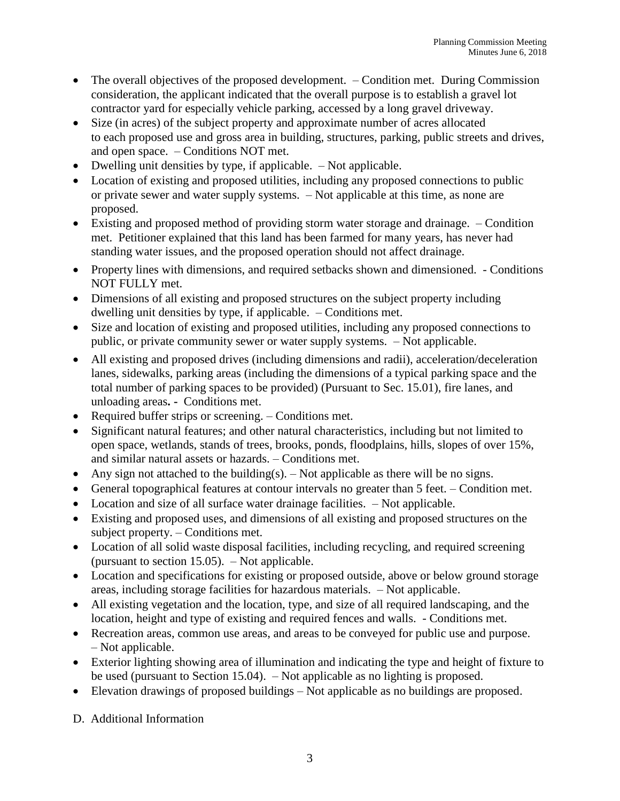- The overall objectives of the proposed development. Condition met. During Commission consideration, the applicant indicated that the overall purpose is to establish a gravel lot contractor yard for especially vehicle parking, accessed by a long gravel driveway.
- Size (in acres) of the subject property and approximate number of acres allocated to each proposed use and gross area in building, structures, parking, public streets and drives, and open space. – Conditions NOT met.
- Dwelling unit densities by type, if applicable. Not applicable.
- Location of existing and proposed utilities, including any proposed connections to public or private sewer and water supply systems. – Not applicable at this time, as none are proposed.
- Existing and proposed method of providing storm water storage and drainage.  $\overline{\phantom{a}}$  Condition met. Petitioner explained that this land has been farmed for many years, has never had standing water issues, and the proposed operation should not affect drainage.
- Property lines with dimensions, and required setbacks shown and dimensioned. Conditions NOT FULLY met.
- Dimensions of all existing and proposed structures on the subject property including dwelling unit densities by type, if applicable. – Conditions met.
- Size and location of existing and proposed utilities, including any proposed connections to public, or private community sewer or water supply systems. – Not applicable.
- All existing and proposed drives (including dimensions and radii), acceleration/deceleration lanes, sidewalks, parking areas (including the dimensions of a typical parking space and the total number of parking spaces to be provided) (Pursuant to Sec. 15.01), fire lanes, and unloading areas**. -** Conditions met.
- Required buffer strips or screening. Conditions met.
- Significant natural features; and other natural characteristics, including but not limited to open space, wetlands, stands of trees, brooks, ponds, floodplains, hills, slopes of over 15%, and similar natural assets or hazards. – Conditions met.
- Any sign not attached to the building(s).  $-$  Not applicable as there will be no signs.
- General topographical features at contour intervals no greater than 5 feet. Condition met.
- Location and size of all surface water drainage facilities. Not applicable.
- Existing and proposed uses, and dimensions of all existing and proposed structures on the subject property. – Conditions met.
- Location of all solid waste disposal facilities, including recycling, and required screening (pursuant to section 15.05). – Not applicable.
- Location and specifications for existing or proposed outside, above or below ground storage areas, including storage facilities for hazardous materials. – Not applicable.
- All existing vegetation and the location, type, and size of all required landscaping, and the location, height and type of existing and required fences and walls. - Conditions met.
- Recreation areas, common use areas, and areas to be conveyed for public use and purpose. – Not applicable.
- Exterior lighting showing area of illumination and indicating the type and height of fixture to be used (pursuant to Section 15.04). – Not applicable as no lighting is proposed.
- Elevation drawings of proposed buildings Not applicable as no buildings are proposed.

D. Additional Information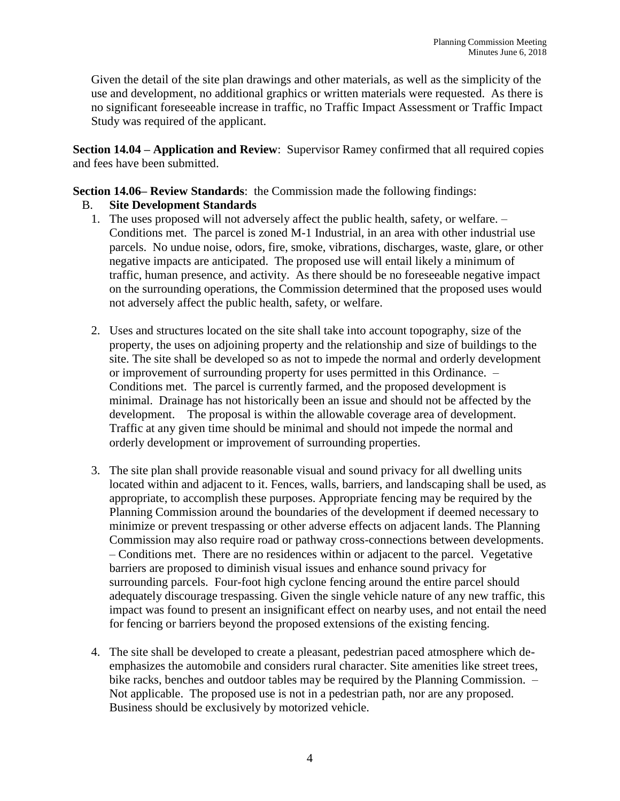Given the detail of the site plan drawings and other materials, as well as the simplicity of the use and development, no additional graphics or written materials were requested. As there is no significant foreseeable increase in traffic, no Traffic Impact Assessment or Traffic Impact Study was required of the applicant.

**Section 14.04 – Application and Review**: Supervisor Ramey confirmed that all required copies and fees have been submitted.

**Section 14.06– Review Standards**: the Commission made the following findings:

# B. **Site Development Standards**

- 1. The uses proposed will not adversely affect the public health, safety, or welfare. Conditions met. The parcel is zoned M-1 Industrial, in an area with other industrial use parcels. No undue noise, odors, fire, smoke, vibrations, discharges, waste, glare, or other negative impacts are anticipated. The proposed use will entail likely a minimum of traffic, human presence, and activity. As there should be no foreseeable negative impact on the surrounding operations, the Commission determined that the proposed uses would not adversely affect the public health, safety, or welfare.
- 2. Uses and structures located on the site shall take into account topography, size of the property, the uses on adjoining property and the relationship and size of buildings to the site. The site shall be developed so as not to impede the normal and orderly development or improvement of surrounding property for uses permitted in this Ordinance. – Conditions met. The parcel is currently farmed, and the proposed development is minimal. Drainage has not historically been an issue and should not be affected by the development. The proposal is within the allowable coverage area of development. Traffic at any given time should be minimal and should not impede the normal and orderly development or improvement of surrounding properties.
- 3. The site plan shall provide reasonable visual and sound privacy for all dwelling units located within and adjacent to it. Fences, walls, barriers, and landscaping shall be used, as appropriate, to accomplish these purposes. Appropriate fencing may be required by the Planning Commission around the boundaries of the development if deemed necessary to minimize or prevent trespassing or other adverse effects on adjacent lands. The Planning Commission may also require road or pathway cross-connections between developments. – Conditions met. There are no residences within or adjacent to the parcel. Vegetative barriers are proposed to diminish visual issues and enhance sound privacy for surrounding parcels. Four-foot high cyclone fencing around the entire parcel should adequately discourage trespassing. Given the single vehicle nature of any new traffic, this impact was found to present an insignificant effect on nearby uses, and not entail the need for fencing or barriers beyond the proposed extensions of the existing fencing.
- 4. The site shall be developed to create a pleasant, pedestrian paced atmosphere which deemphasizes the automobile and considers rural character. Site amenities like street trees, bike racks, benches and outdoor tables may be required by the Planning Commission. – Not applicable. The proposed use is not in a pedestrian path, nor are any proposed. Business should be exclusively by motorized vehicle.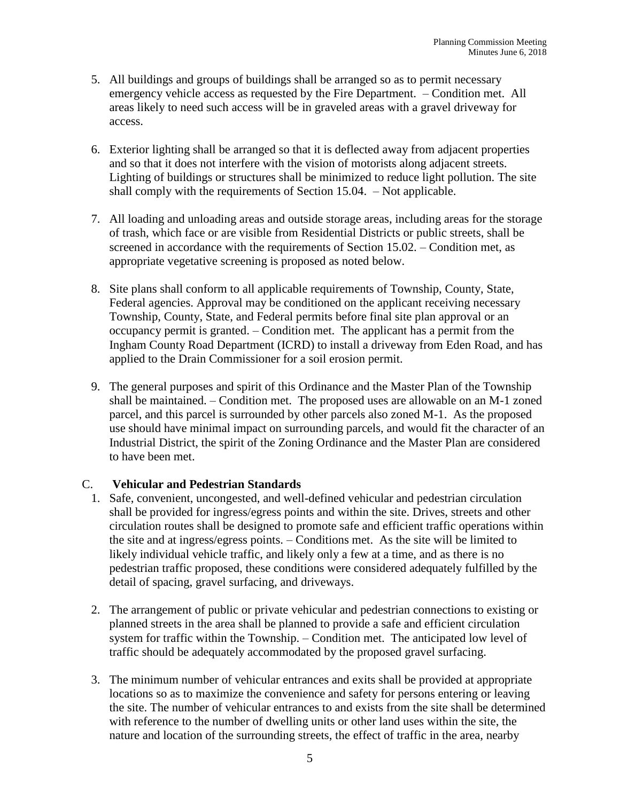- 5. All buildings and groups of buildings shall be arranged so as to permit necessary emergency vehicle access as requested by the Fire Department. – Condition met. All areas likely to need such access will be in graveled areas with a gravel driveway for access.
- 6. Exterior lighting shall be arranged so that it is deflected away from adjacent properties and so that it does not interfere with the vision of motorists along adjacent streets. Lighting of buildings or structures shall be minimized to reduce light pollution. The site shall comply with the requirements of Section 15.04. – Not applicable.
- 7. All loading and unloading areas and outside storage areas, including areas for the storage of trash, which face or are visible from Residential Districts or public streets, shall be screened in accordance with the requirements of Section 15.02. – Condition met, as appropriate vegetative screening is proposed as noted below.
- 8. Site plans shall conform to all applicable requirements of Township, County, State, Federal agencies. Approval may be conditioned on the applicant receiving necessary Township, County, State, and Federal permits before final site plan approval or an occupancy permit is granted. – Condition met. The applicant has a permit from the Ingham County Road Department (ICRD) to install a driveway from Eden Road, and has applied to the Drain Commissioner for a soil erosion permit.
- 9. The general purposes and spirit of this Ordinance and the Master Plan of the Township shall be maintained. – Condition met. The proposed uses are allowable on an M-1 zoned parcel, and this parcel is surrounded by other parcels also zoned M-1. As the proposed use should have minimal impact on surrounding parcels, and would fit the character of an Industrial District, the spirit of the Zoning Ordinance and the Master Plan are considered to have been met.

### C. **Vehicular and Pedestrian Standards**

- 1. Safe, convenient, uncongested, and well-defined vehicular and pedestrian circulation shall be provided for ingress/egress points and within the site. Drives, streets and other circulation routes shall be designed to promote safe and efficient traffic operations within the site and at ingress/egress points. – Conditions met. As the site will be limited to likely individual vehicle traffic, and likely only a few at a time, and as there is no pedestrian traffic proposed, these conditions were considered adequately fulfilled by the detail of spacing, gravel surfacing, and driveways.
- 2. The arrangement of public or private vehicular and pedestrian connections to existing or planned streets in the area shall be planned to provide a safe and efficient circulation system for traffic within the Township. – Condition met. The anticipated low level of traffic should be adequately accommodated by the proposed gravel surfacing.
- 3. The minimum number of vehicular entrances and exits shall be provided at appropriate locations so as to maximize the convenience and safety for persons entering or leaving the site. The number of vehicular entrances to and exists from the site shall be determined with reference to the number of dwelling units or other land uses within the site, the nature and location of the surrounding streets, the effect of traffic in the area, nearby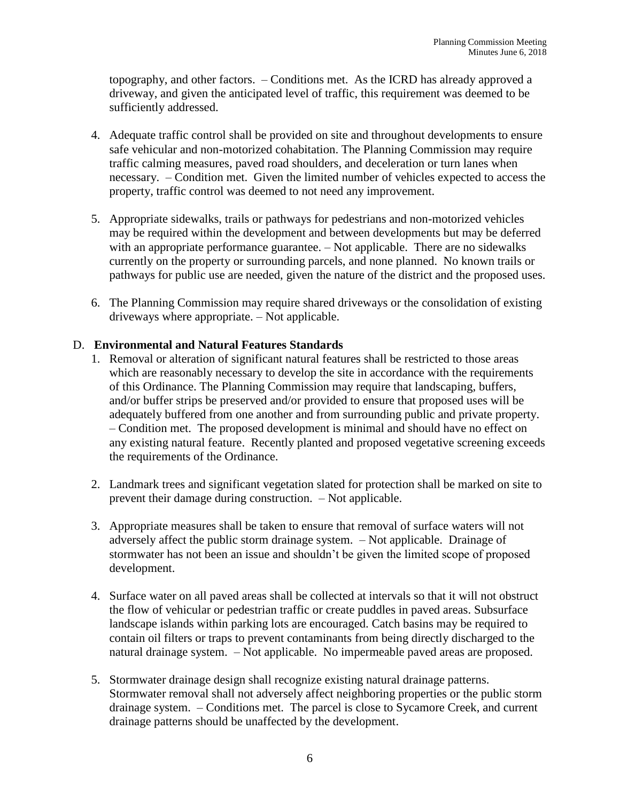topography, and other factors. – Conditions met. As the ICRD has already approved a driveway, and given the anticipated level of traffic, this requirement was deemed to be sufficiently addressed.

- 4. Adequate traffic control shall be provided on site and throughout developments to ensure safe vehicular and non-motorized cohabitation. The Planning Commission may require traffic calming measures, paved road shoulders, and deceleration or turn lanes when necessary. – Condition met. Given the limited number of vehicles expected to access the property, traffic control was deemed to not need any improvement.
- 5. Appropriate sidewalks, trails or pathways for pedestrians and non-motorized vehicles may be required within the development and between developments but may be deferred with an appropriate performance guarantee. – Not applicable. There are no sidewalks currently on the property or surrounding parcels, and none planned. No known trails or pathways for public use are needed, given the nature of the district and the proposed uses.
- 6. The Planning Commission may require shared driveways or the consolidation of existing driveways where appropriate. – Not applicable.

### D. **Environmental and Natural Features Standards**

- 1. Removal or alteration of significant natural features shall be restricted to those areas which are reasonably necessary to develop the site in accordance with the requirements of this Ordinance. The Planning Commission may require that landscaping, buffers, and/or buffer strips be preserved and/or provided to ensure that proposed uses will be adequately buffered from one another and from surrounding public and private property. – Condition met. The proposed development is minimal and should have no effect on any existing natural feature. Recently planted and proposed vegetative screening exceeds the requirements of the Ordinance.
- 2. Landmark trees and significant vegetation slated for protection shall be marked on site to prevent their damage during construction. – Not applicable.
- 3. Appropriate measures shall be taken to ensure that removal of surface waters will not adversely affect the public storm drainage system. – Not applicable. Drainage of stormwater has not been an issue and shouldn't be given the limited scope of proposed development.
- 4. Surface water on all paved areas shall be collected at intervals so that it will not obstruct the flow of vehicular or pedestrian traffic or create puddles in paved areas. Subsurface landscape islands within parking lots are encouraged. Catch basins may be required to contain oil filters or traps to prevent contaminants from being directly discharged to the natural drainage system. – Not applicable. No impermeable paved areas are proposed.
- 5. Stormwater drainage design shall recognize existing natural drainage patterns. Stormwater removal shall not adversely affect neighboring properties or the public storm drainage system. – Conditions met. The parcel is close to Sycamore Creek, and current drainage patterns should be unaffected by the development.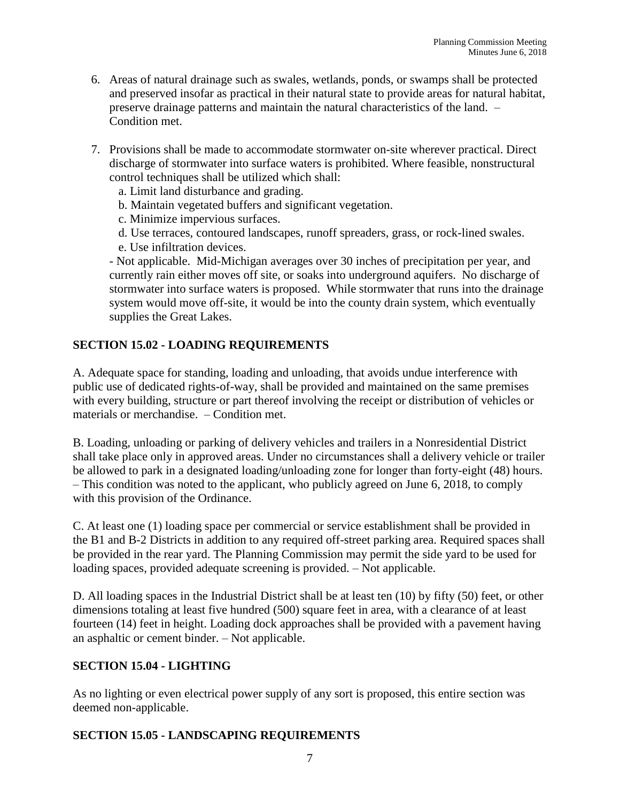- 6. Areas of natural drainage such as swales, wetlands, ponds, or swamps shall be protected and preserved insofar as practical in their natural state to provide areas for natural habitat, preserve drainage patterns and maintain the natural characteristics of the land. – Condition met.
- 7. Provisions shall be made to accommodate stormwater on-site wherever practical. Direct discharge of stormwater into surface waters is prohibited. Where feasible, nonstructural control techniques shall be utilized which shall:
	- a. Limit land disturbance and grading.
	- b. Maintain vegetated buffers and significant vegetation.
	- c. Minimize impervious surfaces.
	- d. Use terraces, contoured landscapes, runoff spreaders, grass, or rock-lined swales.
	- e. Use infiltration devices.

- Not applicable. Mid-Michigan averages over 30 inches of precipitation per year, and currently rain either moves off site, or soaks into underground aquifers. No discharge of stormwater into surface waters is proposed. While stormwater that runs into the drainage system would move off-site, it would be into the county drain system, which eventually supplies the Great Lakes.

# **SECTION 15.02 - LOADING REQUIREMENTS**

A. Adequate space for standing, loading and unloading, that avoids undue interference with public use of dedicated rights-of-way, shall be provided and maintained on the same premises with every building, structure or part thereof involving the receipt or distribution of vehicles or materials or merchandise. – Condition met.

B. Loading, unloading or parking of delivery vehicles and trailers in a Nonresidential District shall take place only in approved areas. Under no circumstances shall a delivery vehicle or trailer be allowed to park in a designated loading/unloading zone for longer than forty-eight (48) hours. – This condition was noted to the applicant, who publicly agreed on June 6, 2018, to comply with this provision of the Ordinance.

C. At least one (1) loading space per commercial or service establishment shall be provided in the B1 and B-2 Districts in addition to any required off-street parking area. Required spaces shall be provided in the rear yard. The Planning Commission may permit the side yard to be used for loading spaces, provided adequate screening is provided. – Not applicable.

D. All loading spaces in the Industrial District shall be at least ten (10) by fifty (50) feet, or other dimensions totaling at least five hundred (500) square feet in area, with a clearance of at least fourteen (14) feet in height. Loading dock approaches shall be provided with a pavement having an asphaltic or cement binder. – Not applicable.

### **SECTION 15.04 - LIGHTING**

As no lighting or even electrical power supply of any sort is proposed, this entire section was deemed non-applicable.

#### **SECTION 15.05 - LANDSCAPING REQUIREMENTS**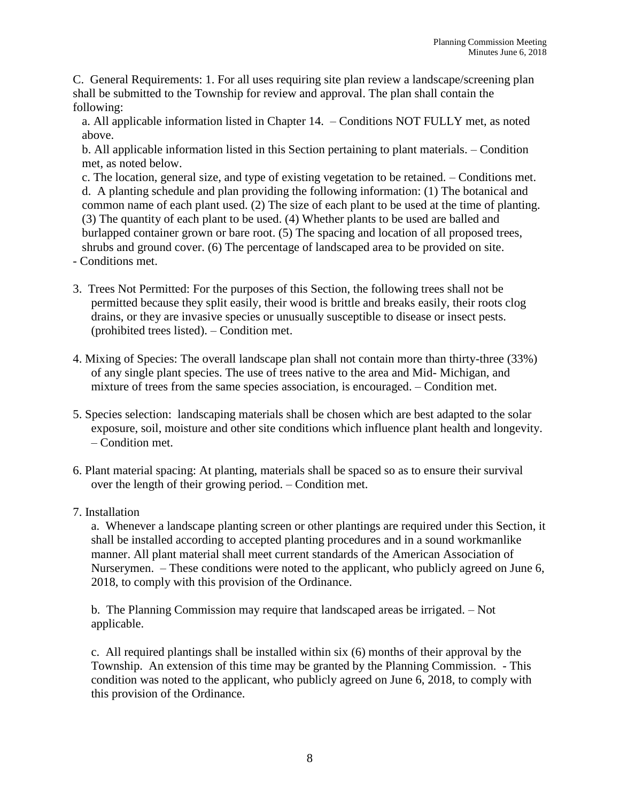C. General Requirements: 1. For all uses requiring site plan review a landscape/screening plan shall be submitted to the Township for review and approval. The plan shall contain the following:

a. All applicable information listed in Chapter 14. – Conditions NOT FULLY met, as noted above.

b. All applicable information listed in this Section pertaining to plant materials. – Condition met, as noted below.

c. The location, general size, and type of existing vegetation to be retained. – Conditions met. d. A planting schedule and plan providing the following information: (1) The botanical and common name of each plant used. (2) The size of each plant to be used at the time of planting. (3) The quantity of each plant to be used. (4) Whether plants to be used are balled and burlapped container grown or bare root. (5) The spacing and location of all proposed trees, shrubs and ground cover. (6) The percentage of landscaped area to be provided on site.

- Conditions met.

- 3. Trees Not Permitted: For the purposes of this Section, the following trees shall not be permitted because they split easily, their wood is brittle and breaks easily, their roots clog drains, or they are invasive species or unusually susceptible to disease or insect pests. (prohibited trees listed). – Condition met.
- 4. Mixing of Species: The overall landscape plan shall not contain more than thirty-three (33%) of any single plant species. The use of trees native to the area and Mid- Michigan, and mixture of trees from the same species association, is encouraged. – Condition met.
- 5. Species selection: landscaping materials shall be chosen which are best adapted to the solar exposure, soil, moisture and other site conditions which influence plant health and longevity. – Condition met.
- 6. Plant material spacing: At planting, materials shall be spaced so as to ensure their survival over the length of their growing period. – Condition met.
- 7. Installation

a. Whenever a landscape planting screen or other plantings are required under this Section, it shall be installed according to accepted planting procedures and in a sound workmanlike manner. All plant material shall meet current standards of the American Association of Nurserymen. – These conditions were noted to the applicant, who publicly agreed on June 6, 2018, to comply with this provision of the Ordinance.

b. The Planning Commission may require that landscaped areas be irrigated. – Not applicable.

c. All required plantings shall be installed within six (6) months of their approval by the Township. An extension of this time may be granted by the Planning Commission. - This condition was noted to the applicant, who publicly agreed on June 6, 2018, to comply with this provision of the Ordinance.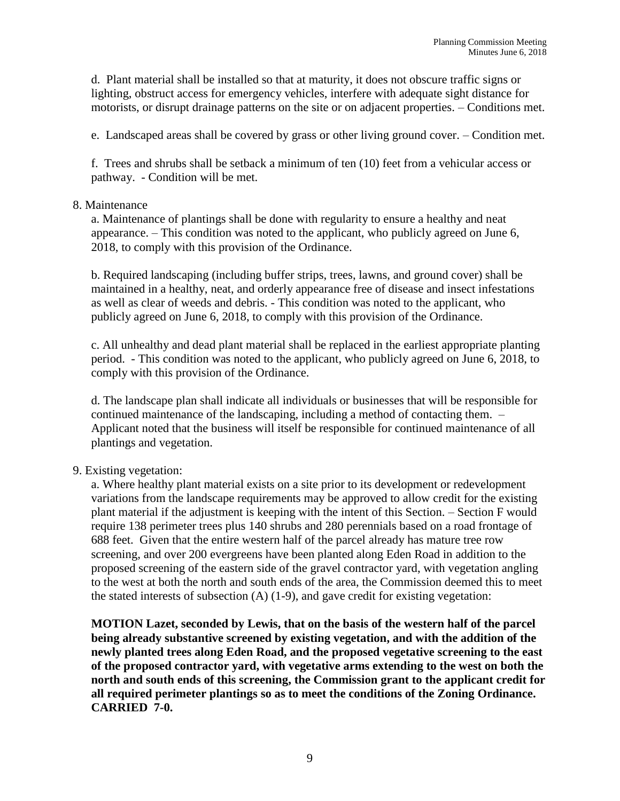d. Plant material shall be installed so that at maturity, it does not obscure traffic signs or lighting, obstruct access for emergency vehicles, interfere with adequate sight distance for motorists, or disrupt drainage patterns on the site or on adjacent properties. – Conditions met.

e. Landscaped areas shall be covered by grass or other living ground cover. – Condition met.

f. Trees and shrubs shall be setback a minimum of ten (10) feet from a vehicular access or pathway. - Condition will be met.

#### 8. Maintenance

a. Maintenance of plantings shall be done with regularity to ensure a healthy and neat appearance. – This condition was noted to the applicant, who publicly agreed on June 6, 2018, to comply with this provision of the Ordinance.

b. Required landscaping (including buffer strips, trees, lawns, and ground cover) shall be maintained in a healthy, neat, and orderly appearance free of disease and insect infestations as well as clear of weeds and debris. - This condition was noted to the applicant, who publicly agreed on June 6, 2018, to comply with this provision of the Ordinance.

c. All unhealthy and dead plant material shall be replaced in the earliest appropriate planting period. - This condition was noted to the applicant, who publicly agreed on June 6, 2018, to comply with this provision of the Ordinance.

d. The landscape plan shall indicate all individuals or businesses that will be responsible for continued maintenance of the landscaping, including a method of contacting them. – Applicant noted that the business will itself be responsible for continued maintenance of all plantings and vegetation.

#### 9. Existing vegetation:

a. Where healthy plant material exists on a site prior to its development or redevelopment variations from the landscape requirements may be approved to allow credit for the existing plant material if the adjustment is keeping with the intent of this Section. – Section F would require 138 perimeter trees plus 140 shrubs and 280 perennials based on a road frontage of 688 feet. Given that the entire western half of the parcel already has mature tree row screening, and over 200 evergreens have been planted along Eden Road in addition to the proposed screening of the eastern side of the gravel contractor yard, with vegetation angling to the west at both the north and south ends of the area, the Commission deemed this to meet the stated interests of subsection  $(A)$  (1-9), and gave credit for existing vegetation:

**MOTION Lazet, seconded by Lewis, that on the basis of the western half of the parcel being already substantive screened by existing vegetation, and with the addition of the newly planted trees along Eden Road, and the proposed vegetative screening to the east of the proposed contractor yard, with vegetative arms extending to the west on both the north and south ends of this screening, the Commission grant to the applicant credit for all required perimeter plantings so as to meet the conditions of the Zoning Ordinance. CARRIED 7-0.**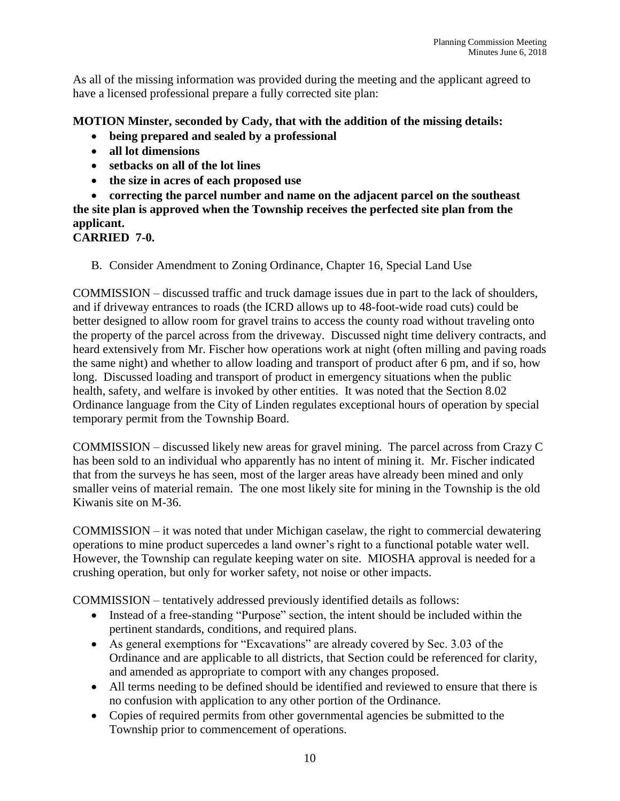As all of the missing information was provided during the meeting and the applicant agreed to have a licensed professional prepare a fully corrected site plan:

### **MOTION Minster, seconded by Cady, that with the addition of the missing details:**

- **being prepared and sealed by a professional**
- **all lot dimensions**
- **setbacks on all of the lot lines**
- **the size in acres of each proposed use**

• **correcting the parcel number and name on the adjacent parcel on the southeast the site plan is approved when the Township receives the perfected site plan from the applicant.**

### **CARRIED 7-0.**

B. Consider Amendment to Zoning Ordinance, Chapter 16, Special Land Use

COMMISSION – discussed traffic and truck damage issues due in part to the lack of shoulders, and if driveway entrances to roads (the ICRD allows up to 48-foot-wide road cuts) could be better designed to allow room for gravel trains to access the county road without traveling onto the property of the parcel across from the driveway. Discussed night time delivery contracts, and heard extensively from Mr. Fischer how operations work at night (often milling and paving roads the same night) and whether to allow loading and transport of product after 6 pm, and if so, how long. Discussed loading and transport of product in emergency situations when the public health, safety, and welfare is invoked by other entities. It was noted that the Section 8.02 Ordinance language from the City of Linden regulates exceptional hours of operation by special temporary permit from the Township Board.

COMMISSION – discussed likely new areas for gravel mining. The parcel across from Crazy C has been sold to an individual who apparently has no intent of mining it. Mr. Fischer indicated that from the surveys he has seen, most of the larger areas have already been mined and only smaller veins of material remain. The one most likely site for mining in the Township is the old Kiwanis site on M-36.

COMMISSION – it was noted that under Michigan caselaw, the right to commercial dewatering operations to mine product supercedes a land owner's right to a functional potable water well. However, the Township can regulate keeping water on site. MIOSHA approval is needed for a crushing operation, but only for worker safety, not noise or other impacts.

COMMISSION – tentatively addressed previously identified details as follows:

- Instead of a free-standing "Purpose" section, the intent should be included within the pertinent standards, conditions, and required plans.
- As general exemptions for "Excavations" are already covered by Sec. 3.03 of the Ordinance and are applicable to all districts, that Section could be referenced for clarity, and amended as appropriate to comport with any changes proposed.
- All terms needing to be defined should be identified and reviewed to ensure that there is no confusion with application to any other portion of the Ordinance.
- Copies of required permits from other governmental agencies be submitted to the Township prior to commencement of operations.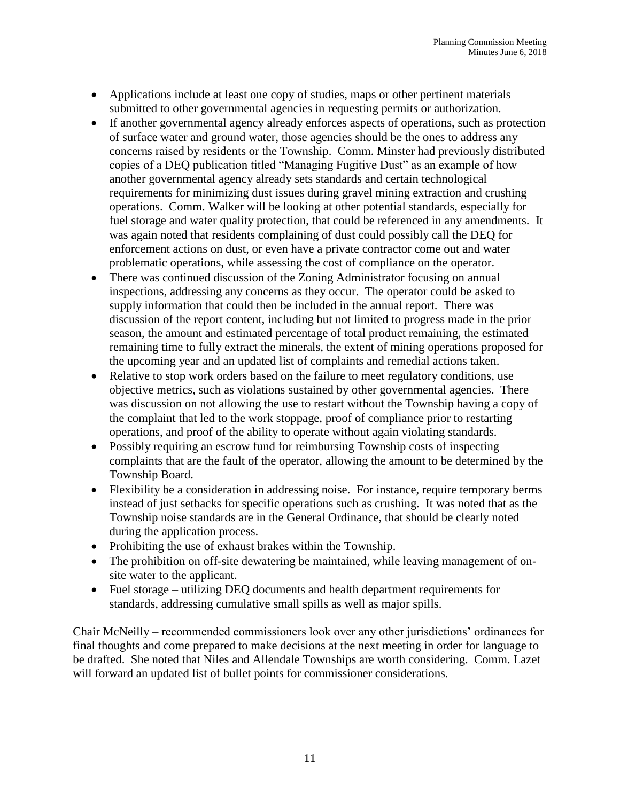- Applications include at least one copy of studies, maps or other pertinent materials submitted to other governmental agencies in requesting permits or authorization.
- If another governmental agency already enforces aspects of operations, such as protection of surface water and ground water, those agencies should be the ones to address any concerns raised by residents or the Township. Comm. Minster had previously distributed copies of a DEQ publication titled "Managing Fugitive Dust" as an example of how another governmental agency already sets standards and certain technological requirements for minimizing dust issues during gravel mining extraction and crushing operations. Comm. Walker will be looking at other potential standards, especially for fuel storage and water quality protection, that could be referenced in any amendments. It was again noted that residents complaining of dust could possibly call the DEQ for enforcement actions on dust, or even have a private contractor come out and water problematic operations, while assessing the cost of compliance on the operator.
- There was continued discussion of the Zoning Administrator focusing on annual inspections, addressing any concerns as they occur. The operator could be asked to supply information that could then be included in the annual report. There was discussion of the report content, including but not limited to progress made in the prior season, the amount and estimated percentage of total product remaining, the estimated remaining time to fully extract the minerals, the extent of mining operations proposed for the upcoming year and an updated list of complaints and remedial actions taken.
- Relative to stop work orders based on the failure to meet regulatory conditions, use objective metrics, such as violations sustained by other governmental agencies. There was discussion on not allowing the use to restart without the Township having a copy of the complaint that led to the work stoppage, proof of compliance prior to restarting operations, and proof of the ability to operate without again violating standards.
- Possibly requiring an escrow fund for reimbursing Township costs of inspecting complaints that are the fault of the operator, allowing the amount to be determined by the Township Board.
- Flexibility be a consideration in addressing noise. For instance, require temporary berms instead of just setbacks for specific operations such as crushing. It was noted that as the Township noise standards are in the General Ordinance, that should be clearly noted during the application process.
- Prohibiting the use of exhaust brakes within the Township.
- The prohibition on off-site dewatering be maintained, while leaving management of onsite water to the applicant.
- Fuel storage utilizing DEQ documents and health department requirements for standards, addressing cumulative small spills as well as major spills.

Chair McNeilly – recommended commissioners look over any other jurisdictions' ordinances for final thoughts and come prepared to make decisions at the next meeting in order for language to be drafted. She noted that Niles and Allendale Townships are worth considering. Comm. Lazet will forward an updated list of bullet points for commissioner considerations.